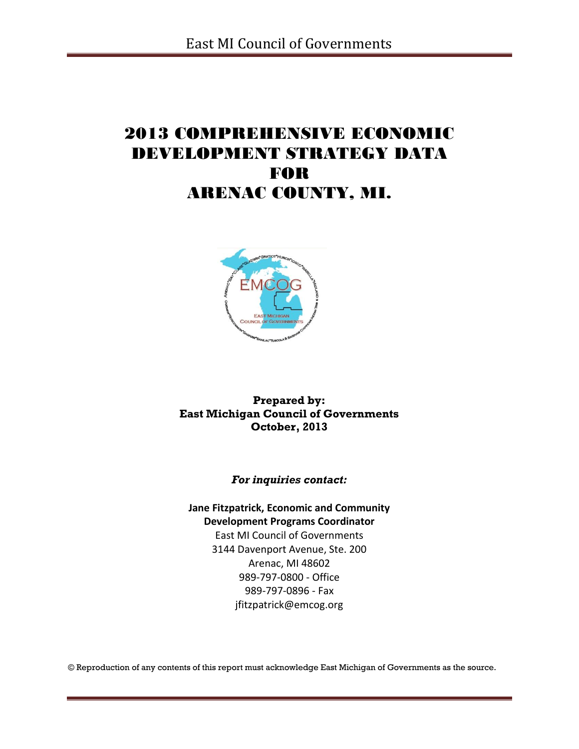# 2013 COMPREHENSIVE ECONOMIC DEVELOPMENT STRATEGY DATA FOR ARENAC COUNTY, MI.



**Prepared by: East Michigan Council of Governments October, 2013**

*For inquiries contact:*

**Jane Fitzpatrick, Economic and Community Development Programs Coordinator** East MI Council of Governments 3144 Davenport Avenue, Ste. 200 Arenac, MI 48602 989-797-0800 - Office

> 989-797-0896 - Fax jfitzpatrick@emcog.org

© Reproduction of any contents of this report must acknowledge East Michigan of Governments as the source.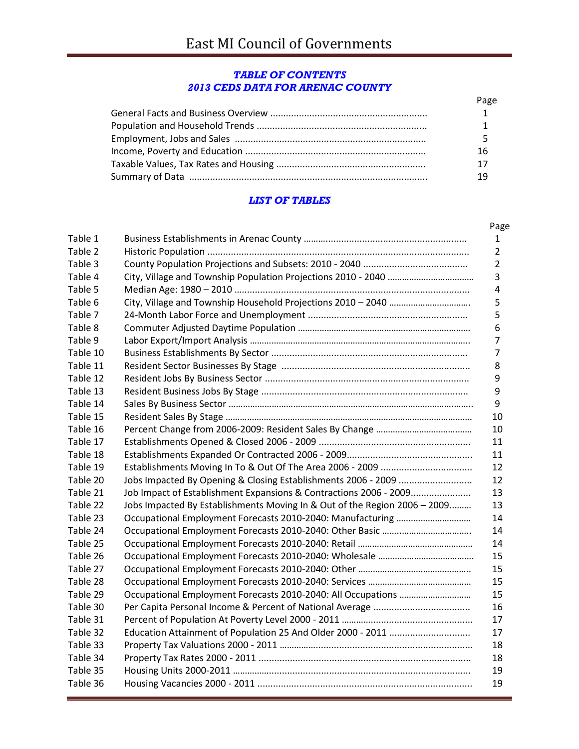#### *TABLE OF CONTENTS 2013 CEDS DATA FOR ARENAC COUNTY*

| Page |
|------|
|      |
|      |
|      |
| 16   |
| 17   |
|      |

#### *LIST OF TABLES*

| Table 1  |                                                                           |
|----------|---------------------------------------------------------------------------|
| Table 2  |                                                                           |
| Table 3  |                                                                           |
| Table 4  |                                                                           |
| Table 5  |                                                                           |
| Table 6  |                                                                           |
| Table 7  |                                                                           |
| Table 8  |                                                                           |
| Table 9  |                                                                           |
| Table 10 |                                                                           |
| Table 11 |                                                                           |
| Table 12 |                                                                           |
| Table 13 |                                                                           |
| Table 14 |                                                                           |
| Table 15 |                                                                           |
| Table 16 |                                                                           |
| Table 17 |                                                                           |
| Table 18 |                                                                           |
| Table 19 |                                                                           |
| Table 20 |                                                                           |
| Table 21 | Job Impact of Establishment Expansions & Contractions 2006 - 2009         |
| Table 22 | Jobs Impacted By Establishments Moving In & Out of the Region 2006 - 2009 |
| Table 23 |                                                                           |
| Table 24 |                                                                           |
| Table 25 |                                                                           |
| Table 26 |                                                                           |
| Table 27 |                                                                           |
| Table 28 |                                                                           |
| Table 29 |                                                                           |
| Table 30 |                                                                           |
| Table 31 |                                                                           |
| Table 32 | Education Attainment of Population 25 And Older 2000 - 2011               |
| Table 33 |                                                                           |
| Table 34 |                                                                           |
| Table 35 |                                                                           |
| Table 36 |                                                                           |
|          |                                                                           |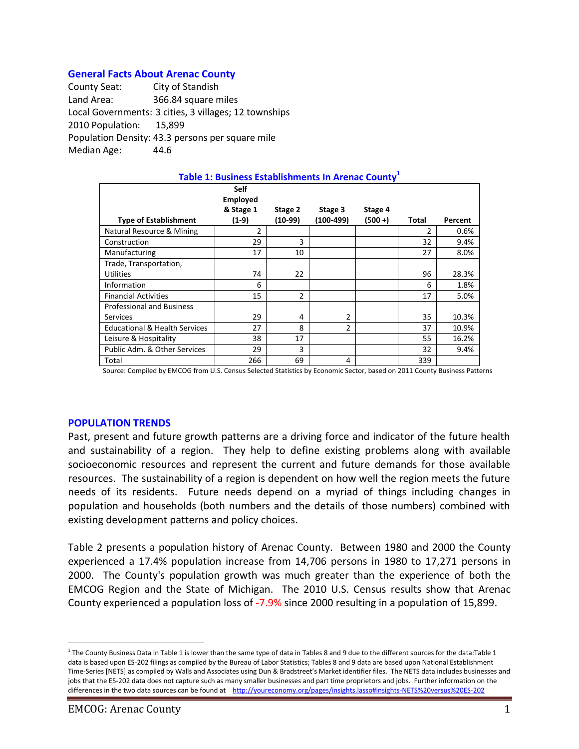#### **General Facts About Arenac County**

County Seat: City of Standish Land Area: 366.84 square miles Local Governments: 3 cities, 3 villages; 12 townships 2010 Population: 15,899 Population Density: 43.3 persons per square mile Median Age: 44.6

| Table 1: Business Establishments In Arenac County <sup>1</sup> |                                |                    |                      |                    |       |         |  |  |
|----------------------------------------------------------------|--------------------------------|--------------------|----------------------|--------------------|-------|---------|--|--|
|                                                                | <b>Self</b><br><b>Employed</b> |                    |                      |                    |       |         |  |  |
| <b>Type of Establishment</b>                                   | & Stage 1<br>$(1-9)$           | Stage 2<br>(10-99) | Stage 3<br>(100-499) | Stage 4<br>(500 +) | Total | Percent |  |  |
|                                                                |                                |                    |                      |                    |       |         |  |  |
| Natural Resource & Mining                                      | 2                              |                    |                      |                    | 2     | 0.6%    |  |  |
| Construction                                                   | 29                             | 3                  |                      |                    | 32    | 9.4%    |  |  |
| Manufacturing                                                  | 17                             | 10                 |                      |                    | 27    | 8.0%    |  |  |
| Trade, Transportation,                                         |                                |                    |                      |                    |       |         |  |  |
| <b>Utilities</b>                                               | 74                             | 22                 |                      |                    | 96    | 28.3%   |  |  |
| Information                                                    | 6                              |                    |                      |                    | 6     | 1.8%    |  |  |
| <b>Financial Activities</b>                                    | 15                             | 2                  |                      |                    | 17    | 5.0%    |  |  |
| <b>Professional and Business</b>                               |                                |                    |                      |                    |       |         |  |  |
| <b>Services</b>                                                | 29                             | 4                  | 2                    |                    | 35    | 10.3%   |  |  |
| <b>Educational &amp; Health Services</b>                       | 27                             | 8                  | $\mathcal{P}$        |                    | 37    | 10.9%   |  |  |
| Leisure & Hospitality                                          | 38                             | 17                 |                      |                    | 55    | 16.2%   |  |  |
| Public Adm. & Other Services                                   | 29                             | 3                  |                      |                    | 32    | 9.4%    |  |  |
| Total                                                          | 266                            | 69                 | 4                    |                    | 339   |         |  |  |

Source: Compiled by EMCOG from U.S. Census Selected Statistics by Economic Sector, based on 2011 County Business Patterns

#### **POPULATION TRENDS**

Past, present and future growth patterns are a driving force and indicator of the future health and sustainability of a region. They help to define existing problems along with available socioeconomic resources and represent the current and future demands for those available resources. The sustainability of a region is dependent on how well the region meets the future needs of its residents. Future needs depend on a myriad of things including changes in population and households (both numbers and the details of those numbers) combined with existing development patterns and policy choices.

Table 2 presents a population history of Arenac County. Between 1980 and 2000 the County experienced a 17.4% population increase from 14,706 persons in 1980 to 17,271 persons in 2000. The County's population growth was much greater than the experience of both the EMCOG Region and the State of Michigan. The 2010 U.S. Census results show that Arenac County experienced a population loss of -7.9% since 2000 resulting in a population of 15,899.

 $\overline{a}$ 

<sup>&</sup>lt;sup>1</sup> The County Business Data in Table 1 is lower than the same type of data in Tables 8 and 9 due to the different sources for the data:Table 1 data is based upon ES-202 filings as compiled by the Bureau of Labor Statistics; Tables 8 and 9 data are based upon National Establishment Time-Series [NETS] as compiled by Walls and Associates using Dun & Bradstreet's Market identifier files. The NETS data includes businesses and jobs that the ES-202 data does not capture such as many smaller businesses and part time proprietors and jobs. Further information on the differences in the two data sources can be found at <http://youreconomy.org/pages/insights.lasso#insights-NETS%20versus%20ES-202>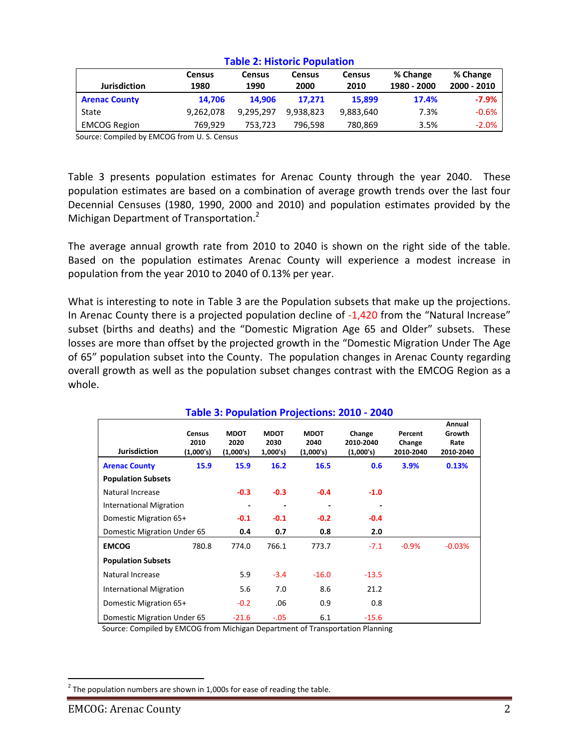|                      | <b>Census</b> | Census    | Census    | <b>Census</b> | % Change    | % Change    |  |
|----------------------|---------------|-----------|-----------|---------------|-------------|-------------|--|
| <b>Jurisdiction</b>  | 1980          | 1990      | 2000      | 2010          | 1980 - 2000 | 2000 - 2010 |  |
| <b>Arenac County</b> | 14.706        | 14.906    | 17.271    | 15.899        | 17.4%       | $-7.9%$     |  |
| State                | 9.262.078     | 9,295,297 | 9.938.823 | 9,883,640     | 7.3%        | $-0.6%$     |  |
| <b>EMCOG Region</b>  | 769.929       | 753,723   | 796,598   | 780,869       | 3.5%        | $-2.0%$     |  |

#### **Table 2: Historic Population**

Source: Compiled by EMCOG from U. S. Census

Table 3 presents population estimates for Arenac County through the year 2040. These population estimates are based on a combination of average growth trends over the last four Decennial Censuses (1980, 1990, 2000 and 2010) and population estimates provided by the Michigan Department of Transportation.<sup>2</sup>

The average annual growth rate from 2010 to 2040 is shown on the right side of the table. Based on the population estimates Arenac County will experience a modest increase in population from the year 2010 to 2040 of 0.13% per year.

What is interesting to note in Table 3 are the Population subsets that make up the projections. In Arenac County there is a projected population decline of -1,420 from the "Natural Increase" subset (births and deaths) and the "Domestic Migration Age 65 and Older" subsets. These losses are more than offset by the projected growth in the "Domestic Migration Under The Age of 65" population subset into the County. The population changes in Arenac County regarding overall growth as well as the population subset changes contrast with the EMCOG Region as a whole.

|                                |                                    |                                  |                                |                                  | Table 3. I Opalation Figuetions. 2010 2040 |                                |                                       |
|--------------------------------|------------------------------------|----------------------------------|--------------------------------|----------------------------------|--------------------------------------------|--------------------------------|---------------------------------------|
| <b>Jurisdiction</b>            | <b>Census</b><br>2010<br>(1,000's) | <b>MDOT</b><br>2020<br>(1,000's) | <b>MDOT</b><br>2030<br>1,000's | <b>MDOT</b><br>2040<br>(1,000's) | Change<br>2010-2040<br>(1,000's)           | Percent<br>Change<br>2010-2040 | Annual<br>Growth<br>Rate<br>2010-2040 |
| <b>Arenac County</b>           | 15.9                               | 15.9                             | 16.2                           | 16.5                             | 0.6                                        | 3.9%                           | 0.13%                                 |
| <b>Population Subsets</b>      |                                    |                                  |                                |                                  |                                            |                                |                                       |
| Natural Increase               |                                    | $-0.3$                           | $-0.3$                         | $-0.4$                           | $-1.0$                                     |                                |                                       |
| <b>International Migration</b> |                                    |                                  | $\overline{\phantom{a}}$       |                                  |                                            |                                |                                       |
| Domestic Migration 65+         |                                    | $-0.1$                           | $-0.1$                         | $-0.2$                           | $-0.4$                                     |                                |                                       |
| Domestic Migration Under 65    |                                    | 0.4                              | 0.7                            | 0.8                              | 2.0                                        |                                |                                       |
| <b>EMCOG</b>                   | 780.8                              | 774.0                            | 766.1                          | 773.7                            | $-7.1$                                     | $-0.9%$                        | $-0.03%$                              |
| <b>Population Subsets</b>      |                                    |                                  |                                |                                  |                                            |                                |                                       |
| Natural Increase               |                                    | 5.9                              | $-3.4$                         | $-16.0$                          | $-13.5$                                    |                                |                                       |
| <b>International Migration</b> |                                    | 5.6                              | 7.0                            | 8.6                              | 21.2                                       |                                |                                       |
| Domestic Migration 65+         |                                    | $-0.2$                           | .06                            | 0.9                              | 0.8                                        |                                |                                       |
| Domestic Migration Under 65    |                                    | $-21.6$                          | $-.05$                         | 6.1                              | $-15.6$                                    |                                |                                       |

#### **Table 3: Population Projections: 2010 - 2040**

Source: Compiled by EMCOG from Michigan Department of Transportation Planning

 $\overline{a}$ 

 $^{2}$  The population numbers are shown in 1,000s for ease of reading the table.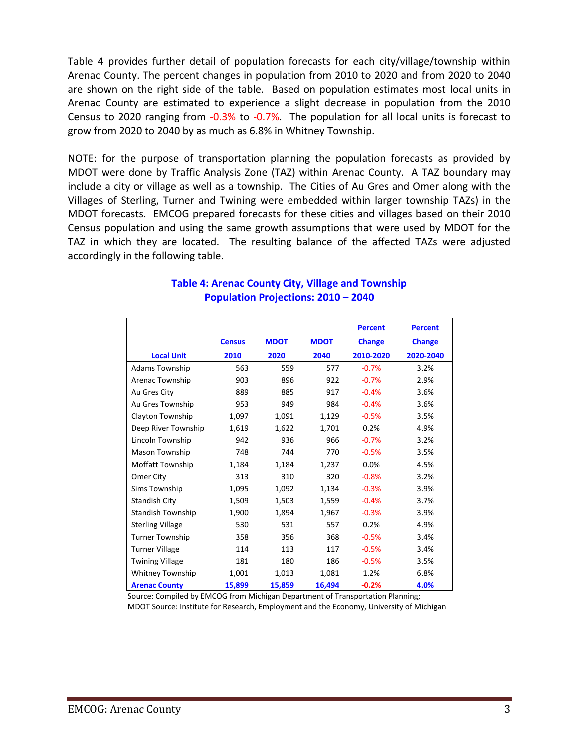Table 4 provides further detail of population forecasts for each city/village/township within Arenac County. The percent changes in population from 2010 to 2020 and from 2020 to 2040 are shown on the right side of the table. Based on population estimates most local units in Arenac County are estimated to experience a slight decrease in population from the 2010 Census to 2020 ranging from -0.3% to -0.7%. The population for all local units is forecast to grow from 2020 to 2040 by as much as 6.8% in Whitney Township.

NOTE: for the purpose of transportation planning the population forecasts as provided by MDOT were done by Traffic Analysis Zone (TAZ) within Arenac County. A TAZ boundary may include a city or village as well as a township. The Cities of Au Gres and Omer along with the Villages of Sterling, Turner and Twining were embedded within larger township TAZs) in the MDOT forecasts. EMCOG prepared forecasts for these cities and villages based on their 2010 Census population and using the same growth assumptions that were used by MDOT for the TAZ in which they are located. The resulting balance of the affected TAZs were adjusted accordingly in the following table.

|                          |               |             |             | <b>Percent</b> | <b>Percent</b> |
|--------------------------|---------------|-------------|-------------|----------------|----------------|
|                          | <b>Census</b> | <b>MDOT</b> | <b>MDOT</b> | <b>Change</b>  | <b>Change</b>  |
| <b>Local Unit</b>        | 2010          | 2020        | 2040        | 2010-2020      | 2020-2040      |
| Adams Township           | 563           | 559         | 577         | $-0.7%$        | 3.2%           |
| Arenac Township          | 903           | 896         | 922         | $-0.7%$        | 2.9%           |
| Au Gres City             | 889           | 885         | 917         | $-0.4%$        | 3.6%           |
| Au Gres Township         | 953           | 949         | 984         | $-0.4%$        | 3.6%           |
| Clayton Township         | 1,097         | 1,091       | 1,129       | $-0.5%$        | 3.5%           |
| Deep River Township      | 1,619         | 1,622       | 1,701       | 0.2%           | 4.9%           |
| Lincoln Township         | 942           | 936         | 966         | $-0.7%$        | 3.2%           |
| Mason Township           | 748           | 744         | 770         | $-0.5%$        | 3.5%           |
| Moffatt Township         | 1,184         | 1,184       | 1,237       | 0.0%           | 4.5%           |
| Omer City                | 313           | 310         | 320         | $-0.8%$        | 3.2%           |
| Sims Township            | 1,095         | 1,092       | 1,134       | $-0.3%$        | 3.9%           |
| <b>Standish City</b>     | 1,509         | 1,503       | 1,559       | $-0.4%$        | 3.7%           |
| <b>Standish Township</b> | 1,900         | 1,894       | 1,967       | $-0.3%$        | 3.9%           |
| <b>Sterling Village</b>  | 530           | 531         | 557         | 0.2%           | 4.9%           |
| <b>Turner Township</b>   | 358           | 356         | 368         | $-0.5%$        | 3.4%           |
| <b>Turner Village</b>    | 114           | 113         | 117         | $-0.5%$        | 3.4%           |
| <b>Twining Village</b>   | 181           | 180         | 186         | $-0.5%$        | 3.5%           |
| Whitney Township         | 1,001         | 1,013       | 1,081       | 1.2%           | 6.8%           |
| <b>Arenac County</b>     | 15,899        | 15,859      | 16,494      | $-0.2%$        | 4.0%           |

# **Table 4: Arenac County City, Village and Township Population Projections: 2010 – 2040**

Source: Compiled by EMCOG from Michigan Department of Transportation Planning; MDOT Source: Institute for Research, Employment and the Economy, University of Michigan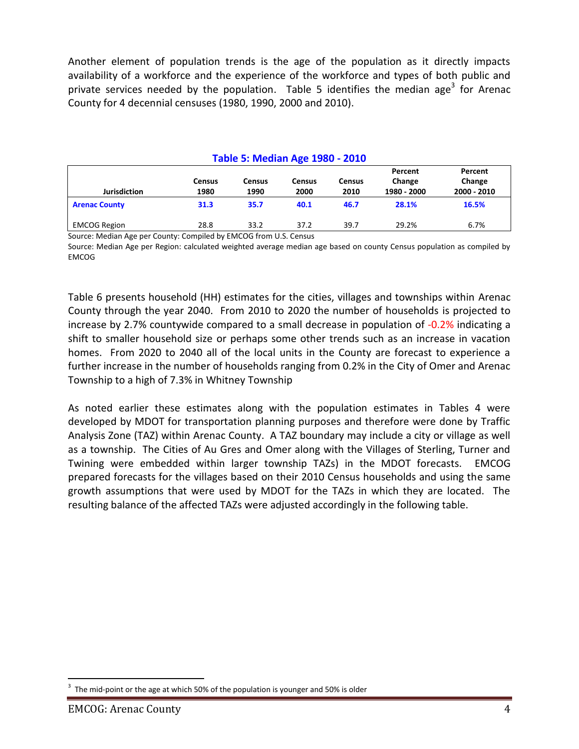Another element of population trends is the age of the population as it directly impacts availability of a workforce and the experience of the workforce and types of both public and private services needed by the population. Table 5 identifies the median age<sup>3</sup> for Arenac County for 4 decennial censuses (1980, 1990, 2000 and 2010).

# **Table 5: Median Age 1980 - 2010**

| <b>Jurisdiction</b>  | Census<br>1980 | <b>Census</b><br>1990 | Census<br>2000 | <b>Census</b><br>2010 | Percent<br>Change<br>1980 - 2000 | Percent<br>Change<br>2000 - 2010 |
|----------------------|----------------|-----------------------|----------------|-----------------------|----------------------------------|----------------------------------|
| <b>Arenac County</b> | 31.3           | 35.7                  | 40.1           | 46.7                  | 28.1%                            | 16.5%                            |
| <b>EMCOG Region</b>  | 28.8           | 33.2                  | 37.2           | 39.7                  | 29.2%                            | 6.7%                             |

Source: Median Age per County: Compiled by EMCOG from U.S. Census

Source: Median Age per Region: calculated weighted average median age based on county Census population as compiled by EMCOG

Table 6 presents household (HH) estimates for the cities, villages and townships within Arenac County through the year 2040. From 2010 to 2020 the number of households is projected to increase by 2.7% countywide compared to a small decrease in population of -0.2% indicating a shift to smaller household size or perhaps some other trends such as an increase in vacation homes. From 2020 to 2040 all of the local units in the County are forecast to experience a further increase in the number of households ranging from 0.2% in the City of Omer and Arenac Township to a high of 7.3% in Whitney Township

As noted earlier these estimates along with the population estimates in Tables 4 were developed by MDOT for transportation planning purposes and therefore were done by Traffic Analysis Zone (TAZ) within Arenac County. A TAZ boundary may include a city or village as well as a township. The Cities of Au Gres and Omer along with the Villages of Sterling, Turner and Twining were embedded within larger township TAZs) in the MDOT forecasts. EMCOG prepared forecasts for the villages based on their 2010 Census households and using the same growth assumptions that were used by MDOT for the TAZs in which they are located. The resulting balance of the affected TAZs were adjusted accordingly in the following table.

 $\overline{a}$ 3 The mid-point or the age at which 50% of the population is younger and 50% is older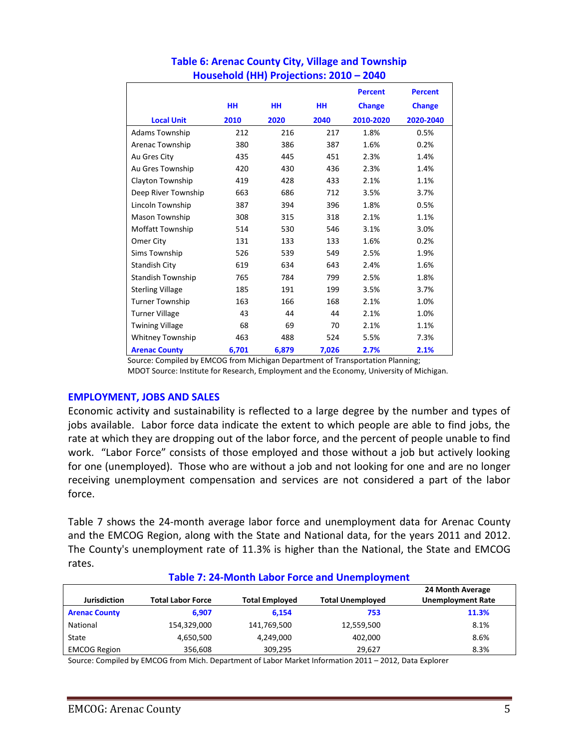|                          |           |           |       | <b>Percent</b> | <b>Percent</b> |
|--------------------------|-----------|-----------|-------|----------------|----------------|
|                          | <b>HH</b> | <b>HH</b> | HH    | <b>Change</b>  | <b>Change</b>  |
| <b>Local Unit</b>        | 2010      | 2020      | 2040  | 2010-2020      | 2020-2040      |
| <b>Adams Township</b>    | 212       | 216       | 217   | 1.8%           | 0.5%           |
| Arenac Township          | 380       | 386       | 387   | 1.6%           | 0.2%           |
| Au Gres City             | 435       | 445       | 451   | 2.3%           | 1.4%           |
| Au Gres Township         | 420       | 430       | 436   | 2.3%           | 1.4%           |
| Clayton Township         | 419       | 428       | 433   | 2.1%           | 1.1%           |
| Deep River Township      | 663       | 686       | 712   | 3.5%           | 3.7%           |
| Lincoln Township         | 387       | 394       | 396   | 1.8%           | 0.5%           |
| Mason Township           | 308       | 315       | 318   | 2.1%           | 1.1%           |
| Moffatt Township         | 514       | 530       | 546   | 3.1%           | 3.0%           |
| Omer City                | 131       | 133       | 133   | 1.6%           | 0.2%           |
| Sims Township            | 526       | 539       | 549   | 2.5%           | 1.9%           |
| <b>Standish City</b>     | 619       | 634       | 643   | 2.4%           | 1.6%           |
| <b>Standish Township</b> | 765       | 784       | 799   | 2.5%           | 1.8%           |
| <b>Sterling Village</b>  | 185       | 191       | 199   | 3.5%           | 3.7%           |
| <b>Turner Township</b>   | 163       | 166       | 168   | 2.1%           | 1.0%           |
| <b>Turner Village</b>    | 43        | 44        | 44    | 2.1%           | 1.0%           |
| <b>Twining Village</b>   | 68        | 69        | 70    | 2.1%           | 1.1%           |
| <b>Whitney Township</b>  | 463       | 488       | 524   | 5.5%           | 7.3%           |
| <b>Arenac County</b>     | 6,701     | 6,879     | 7,026 | 2.7%           | 2.1%           |

# **Table 6: Arenac County City, Village and Township Household (HH) Projections: 2010 – 2040**

Source: Compiled by EMCOG from Michigan Department of Transportation Planning; MDOT Source: Institute for Research, Employment and the Economy, University of Michigan.

#### **EMPLOYMENT, JOBS AND SALES**

Economic activity and sustainability is reflected to a large degree by the number and types of jobs available. Labor force data indicate the extent to which people are able to find jobs, the rate at which they are dropping out of the labor force, and the percent of people unable to find work. "Labor Force" consists of those employed and those without a job but actively looking for one (unemployed). Those who are without a job and not looking for one and are no longer receiving unemployment compensation and services are not considered a part of the labor force.

Table 7 shows the 24-month average labor force and unemployment data for Arenac County and the EMCOG Region, along with the State and National data, for the years 2011 and 2012. The County's unemployment rate of 11.3% is higher than the National, the State and EMCOG rates.

| <b>Jurisdiction</b>  | Total Labor Force | <b>Total Employed</b> | <b>Total Unemployed</b> | 24 Month Average<br><b>Unemployment Rate</b> |
|----------------------|-------------------|-----------------------|-------------------------|----------------------------------------------|
| <b>Arenac County</b> | 6.907             | 6.154                 | 753                     | 11.3%                                        |
| National             | 154,329,000       | 141,769,500           | 12,559,500              | 8.1%                                         |
| State                | 4,650,500         | 4,249,000             | 402,000                 | 8.6%                                         |
| <b>EMCOG Region</b>  | 356,608           | 309,295               | 29.627                  | 8.3%                                         |

#### **Table 7: 24-Month Labor Force and Unemployment**

Source: Compiled by EMCOG from Mich. Department of Labor Market Information 2011 – 2012, Data Explorer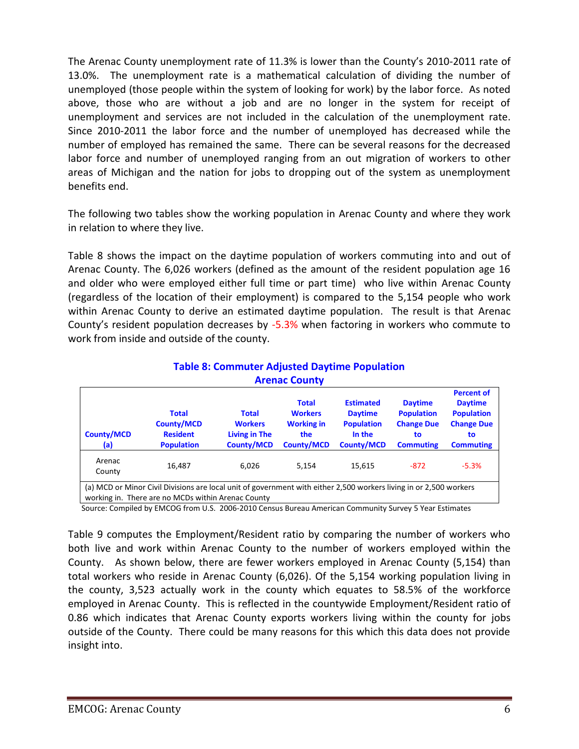The Arenac County unemployment rate of 11.3% is lower than the County's 2010-2011 rate of 13.0%. The unemployment rate is a mathematical calculation of dividing the number of unemployed (those people within the system of looking for work) by the labor force. As noted above, those who are without a job and are no longer in the system for receipt of unemployment and services are not included in the calculation of the unemployment rate. Since 2010-2011 the labor force and the number of unemployed has decreased while the number of employed has remained the same. There can be several reasons for the decreased labor force and number of unemployed ranging from an out migration of workers to other areas of Michigan and the nation for jobs to dropping out of the system as unemployment benefits end.

The following two tables show the working population in Arenac County and where they work in relation to where they live.

Table 8 shows the impact on the daytime population of workers commuting into and out of Arenac County. The 6,026 workers (defined as the amount of the resident population age 16 and older who were employed either full time or part time) who live within Arenac County (regardless of the location of their employment) is compared to the 5,154 people who work within Arenac County to derive an estimated daytime population. The result is that Arenac County's resident population decreases by -5.3% when factoring in workers who commute to work from inside and outside of the county.

| <b>Arenac County</b>                                                                                                                                                     |                                                                           |                                                                             |                                                                                 |                                                                                        |                                                                                    |                                                                                                         |  |
|--------------------------------------------------------------------------------------------------------------------------------------------------------------------------|---------------------------------------------------------------------------|-----------------------------------------------------------------------------|---------------------------------------------------------------------------------|----------------------------------------------------------------------------------------|------------------------------------------------------------------------------------|---------------------------------------------------------------------------------------------------------|--|
| <b>County/MCD</b><br>(a)                                                                                                                                                 | <b>Total</b><br><b>County/MCD</b><br><b>Resident</b><br><b>Population</b> | <b>Total</b><br><b>Workers</b><br><b>Living in The</b><br><b>County/MCD</b> | <b>Total</b><br><b>Workers</b><br><b>Working in</b><br>the<br><b>County/MCD</b> | <b>Estimated</b><br><b>Daytime</b><br><b>Population</b><br>In the<br><b>County/MCD</b> | <b>Daytime</b><br><b>Population</b><br><b>Change Due</b><br>to<br><b>Commuting</b> | <b>Percent of</b><br><b>Daytime</b><br><b>Population</b><br><b>Change Due</b><br>to<br><b>Commuting</b> |  |
| Arenac<br>County                                                                                                                                                         | 16,487                                                                    | 6.026                                                                       | 5.154                                                                           | 15,615                                                                                 | $-872$                                                                             | $-5.3%$                                                                                                 |  |
| (a) MCD or Minor Civil Divisions are local unit of government with either 2,500 workers living in or 2,500 workers<br>working in. There are no MCDs within Arenac County |                                                                           |                                                                             |                                                                                 |                                                                                        |                                                                                    |                                                                                                         |  |

# **Table 8: Commuter Adjusted Daytime Population Arenac County**

Source: Compiled by EMCOG from U.S. 2006-2010 Census Bureau American Community Survey 5 Year Estimates

Table 9 computes the Employment/Resident ratio by comparing the number of workers who both live and work within Arenac County to the number of workers employed within the County. As shown below, there are fewer workers employed in Arenac County (5,154) than total workers who reside in Arenac County (6,026). Of the 5,154 working population living in the county, 3,523 actually work in the county which equates to 58.5% of the workforce employed in Arenac County. This is reflected in the countywide Employment/Resident ratio of 0.86 which indicates that Arenac County exports workers living within the county for jobs outside of the County. There could be many reasons for this which this data does not provide insight into.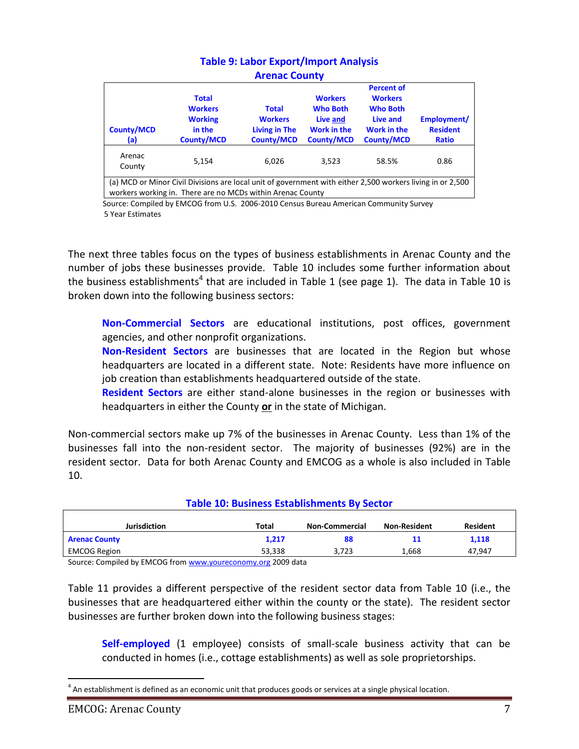| <b>MICHAL COUTLY</b>     |                                                                                                                                                                          |                                                                             |                                                                                          |                                                                                                        |                                                |  |  |
|--------------------------|--------------------------------------------------------------------------------------------------------------------------------------------------------------------------|-----------------------------------------------------------------------------|------------------------------------------------------------------------------------------|--------------------------------------------------------------------------------------------------------|------------------------------------------------|--|--|
| <b>County/MCD</b><br>(a) | <b>Total</b><br><b>Workers</b><br><b>Working</b><br>in the<br><b>County/MCD</b>                                                                                          | <b>Total</b><br><b>Workers</b><br><b>Living in The</b><br><b>County/MCD</b> | <b>Workers</b><br><b>Who Both</b><br>Live and<br><b>Work in the</b><br><b>County/MCD</b> | <b>Percent of</b><br><b>Workers</b><br><b>Who Both</b><br>Live and<br>Work in the<br><b>County/MCD</b> | Employment/<br><b>Resident</b><br><b>Ratio</b> |  |  |
| Arenac<br>County         | 5.154                                                                                                                                                                    | 6.026                                                                       | 3.523                                                                                    | 58.5%                                                                                                  | 0.86                                           |  |  |
|                          | (a) MCD or Minor Civil Divisions are local unit of government with either 2,500 workers living in or 2,500<br>workers working in. There are no MCDs within Arenac County |                                                                             |                                                                                          |                                                                                                        |                                                |  |  |

#### **Table 9: Labor Export/Import Analysis Arenac County**

 Source: Compiled by EMCOG from U.S. 2006-2010 Census Bureau American Community Survey 5 Year Estimates

The next three tables focus on the types of business establishments in Arenac County and the number of jobs these businesses provide. Table 10 includes some further information about the business establishments<sup>4</sup> that are included in Table 1 (see page 1). The data in Table 10 is broken down into the following business sectors:

**Non-Commercial Sectors** are educational institutions, post offices, government agencies, and other nonprofit organizations.

**Non-Resident Sectors** are businesses that are located in the Region but whose headquarters are located in a different state. Note: Residents have more influence on job creation than establishments headquartered outside of the state.

**Resident Sectors** are either stand-alone businesses in the region or businesses with headquarters in either the County **or** in the state of Michigan.

Non-commercial sectors make up 7% of the businesses in Arenac County. Less than 1% of the businesses fall into the non-resident sector. The majority of businesses (92%) are in the resident sector. Data for both Arenac County and EMCOG as a whole is also included in Table 10.

| TOMIC TO: DOMINICAS ESTOMININHICHTS DY SCUTOI |        |                       |                     |                 |  |  |  |
|-----------------------------------------------|--------|-----------------------|---------------------|-----------------|--|--|--|
| <b>Jurisdiction</b>                           | Total  | <b>Non-Commercial</b> | <b>Non-Resident</b> | <b>Resident</b> |  |  |  |
|                                               |        |                       |                     |                 |  |  |  |
| <b>Arenac County</b>                          | 1.217  |                       | 11                  | 1,118           |  |  |  |
| <b>EMCOG Region</b>                           | 53,338 | 3.723                 | 1,668               | 47.947          |  |  |  |

**Table 10: Business Establishments By Sector**

Source: Compiled by EMCOG fro[m www.youreconomy.org](http://www.youreconomy.org/) 2009 data

Table 11 provides a different perspective of the resident sector data from Table 10 (i.e., the businesses that are headquartered either within the county or the state). The resident sector businesses are further broken down into the following business stages:

**Self-employed** (1 employee) consists of small-scale business activity that can be conducted in homes (i.e., cottage establishments) as well as sole proprietorships.

 $\overline{a}$  $<sup>4</sup>$  An establishment is defined as an economic unit that produces goods or services at a single physical location.</sup>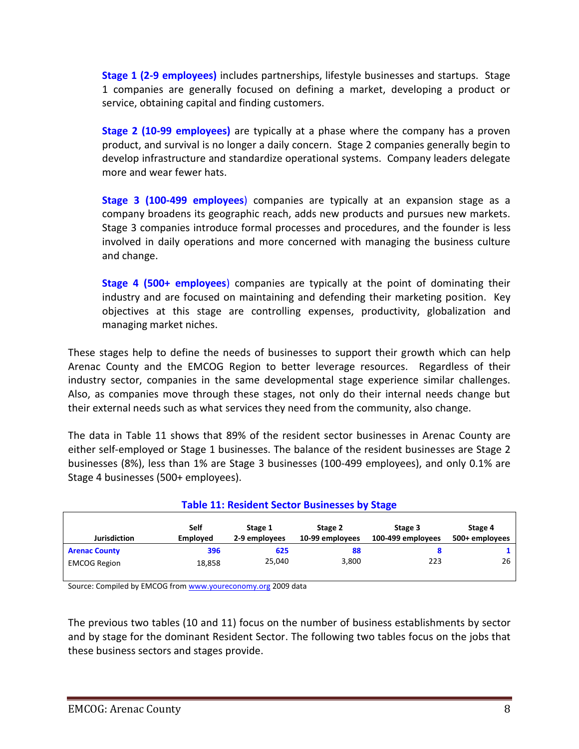**Stage 1 (2-9 employees)** includes partnerships, lifestyle businesses and startups. Stage 1 companies are generally focused on defining a market, developing a product or service, obtaining capital and finding customers.

**Stage 2 (10-99 employees)** are typically at a phase where the company has a proven product, and survival is no longer a daily concern. Stage 2 companies generally begin to develop infrastructure and standardize operational systems. Company leaders delegate more and wear fewer hats.

**Stage 3 (100-499 employees**) companies are typically at an expansion stage as a company broadens its geographic reach, adds new products and pursues new markets. Stage 3 companies introduce formal processes and procedures, and the founder is less involved in daily operations and more concerned with managing the business culture and change.

**Stage 4 (500+ employees**) companies are typically at the point of dominating their industry and are focused on maintaining and defending their marketing position. Key objectives at this stage are controlling expenses, productivity, globalization and managing market niches.

These stages help to define the needs of businesses to support their growth which can help Arenac County and the EMCOG Region to better leverage resources. Regardless of their industry sector, companies in the same developmental stage experience similar challenges. Also, as companies move through these stages, not only do their internal needs change but their external needs such as what services they need from the community, also change.

The data in Table 11 shows that 89% of the resident sector businesses in Arenac County are either self-employed or Stage 1 businesses. The balance of the resident businesses are Stage 2 businesses (8%), less than 1% are Stage 3 businesses (100-499 employees), and only 0.1% are Stage 4 businesses (500+ employees).

| <b>Table 11: Resident Sector Businesses by Stage</b> |                         |                          |                            |                              |                           |  |
|------------------------------------------------------|-------------------------|--------------------------|----------------------------|------------------------------|---------------------------|--|
| <b>Jurisdiction</b>                                  | Self<br><b>Employed</b> | Stage 1<br>2-9 employees | Stage 2<br>10-99 employees | Stage 3<br>100-499 employees | Stage 4<br>500+ employees |  |
| <b>Arenac County</b>                                 | 396                     | 625                      | 88                         |                              |                           |  |
| <b>EMCOG Region</b>                                  | 18,858                  | 25.040                   | 3,800                      | 223                          | 26                        |  |

Source: Compiled by EMCOG fro[m www.youreconomy.org](http://www.youreconomy.org/) 2009 data

The previous two tables (10 and 11) focus on the number of business establishments by sector and by stage for the dominant Resident Sector. The following two tables focus on the jobs that these business sectors and stages provide.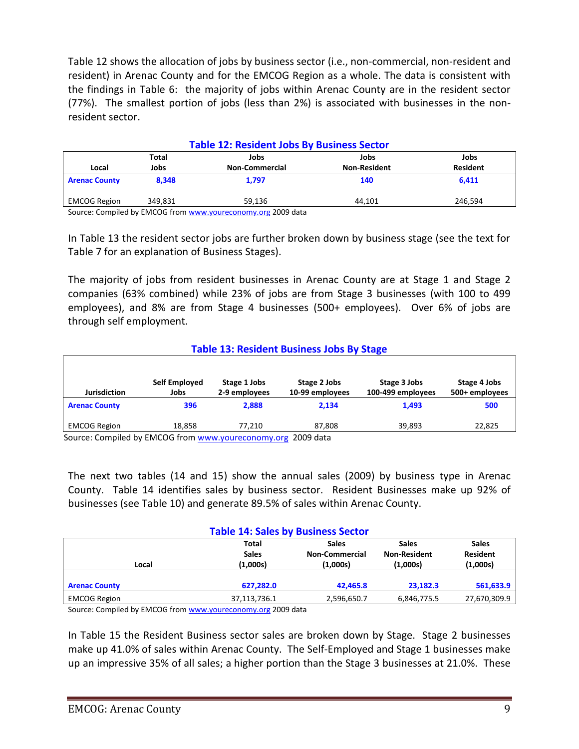Table 12 shows the allocation of jobs by business sector (i.e., non-commercial, non-resident and resident) in Arenac County and for the EMCOG Region as a whole. The data is consistent with the findings in Table 6: the majority of jobs within Arenac County are in the resident sector (77%). The smallest portion of jobs (less than 2%) is associated with businesses in the nonresident sector.

| <b>Table 12: Resident Jobs By Business Sector</b> |                       |                     |                 |  |  |  |
|---------------------------------------------------|-----------------------|---------------------|-----------------|--|--|--|
| Total<br>Jobs<br>Jobs<br>Jobs                     |                       |                     |                 |  |  |  |
| Jobs                                              | <b>Non-Commercial</b> | <b>Non-Resident</b> | <b>Resident</b> |  |  |  |
| 8.348                                             | 1.797                 | 140                 | 6,411           |  |  |  |
| 349.831                                           | 59.136                | 44.101              | 246.594         |  |  |  |
|                                                   |                       |                     |                 |  |  |  |

Source: Compiled by EMCOG fro[m www.youreconomy.org](http://www.youreconomy.org/) 2009 data

In Table 13 the resident sector jobs are further broken down by business stage (see the text for Table 7 for an explanation of Business Stages).

The majority of jobs from resident businesses in Arenac County are at Stage 1 and Stage 2 companies (63% combined) while 23% of jobs are from Stage 3 businesses (with 100 to 499 employees), and 8% are from Stage 4 businesses (500+ employees). Over 6% of jobs are through self employment.

# **Table 13: Resident Business Jobs By Stage**

| <b>Jurisdiction</b>                | Self Employed<br>Jobs | Stage 1 Jobs<br>2-9 employees | Stage 2 Jobs<br>10-99 employees | Stage 3 Jobs<br>100-499 employees | Stage 4 Jobs<br>500+ employees |
|------------------------------------|-----------------------|-------------------------------|---------------------------------|-----------------------------------|--------------------------------|
| <b>Arenac County</b>               | 396                   | 2.888                         | 2.134                           | 1.493                             | 500                            |
| <b>EMCOG Region</b>                | 18.858                | 77.210                        | 87.808                          | 39.893                            | 22,825                         |
| $\cdot$ .<br>.<br>$\sim$<br>$\sim$ | ------                |                               | $\cdots$                        |                                   |                                |

Source: Compiled by EMCOG from [www.youreconomy.org](http://www.youreconomy.org/) 2009 data

The next two tables (14 and 15) show the annual sales (2009) by business type in Arenac County. Table 14 identifies sales by business sector. Resident Businesses make up 92% of businesses (see Table 10) and generate 89.5% of sales within Arenac County.

#### **Table 14: Sales by Business Sector**

|                      | Total        | <b>Sales</b>          | <b>Sales</b>        | <b>Sales</b>    |
|----------------------|--------------|-----------------------|---------------------|-----------------|
|                      | <b>Sales</b> | <b>Non-Commercial</b> | <b>Non-Resident</b> | <b>Resident</b> |
| Local                | (1,000s)     | (1,000s)              | (1,000s)            | (1,000s)        |
|                      |              |                       |                     |                 |
| <b>Arenac County</b> | 627,282.0    | 42,465.8              | 23,182.3            | 561,633.9       |
| <b>EMCOG Region</b>  | 37,113,736.1 | 2,596,650.7           | 6,846,775.5         | 27,670,309.9    |
|                      |              |                       |                     |                 |

Source: Compiled by EMCOG fro[m www.youreconomy.org](http://www.youreconomy.org/) 2009 data

In Table 15 the Resident Business sector sales are broken down by Stage. Stage 2 businesses make up 41.0% of sales within Arenac County. The Self-Employed and Stage 1 businesses make up an impressive 35% of all sales; a higher portion than the Stage 3 businesses at 21.0%. These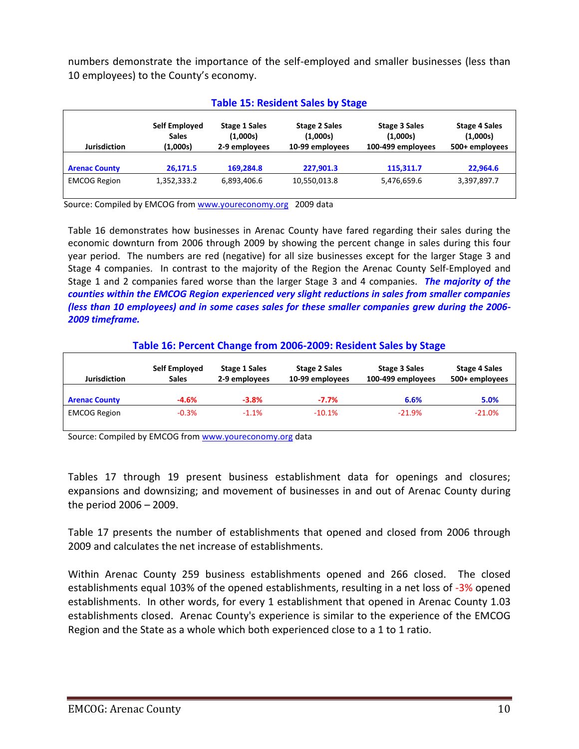numbers demonstrate the importance of the self-employed and smaller businesses (less than 10 employees) to the County's economy.

|                      | Table 19. Resident Sales by Stage         |                                                   |                                                     |                                                       |                                                    |  |
|----------------------|-------------------------------------------|---------------------------------------------------|-----------------------------------------------------|-------------------------------------------------------|----------------------------------------------------|--|
| <b>Jurisdiction</b>  | Self Employed<br><b>Sales</b><br>(1,000s) | <b>Stage 1 Sales</b><br>(1,000s)<br>2-9 employees | <b>Stage 2 Sales</b><br>(1,000s)<br>10-99 employees | <b>Stage 3 Sales</b><br>(1,000s)<br>100-499 employees | <b>Stage 4 Sales</b><br>(1,000s)<br>500+ employees |  |
| <b>Arenac County</b> | 26,171.5                                  | 169,284.8                                         | 227,901.3                                           | 115,311.7                                             | 22,964.6                                           |  |
| <b>EMCOG Region</b>  | 1,352,333.2                               | 6,893,406.6                                       | 10,550,013.8                                        | 5,476,659.6                                           | 3,397,897.7                                        |  |

# **Table 15: Resident Sales by Stage**

Source: Compiled by EMCOG from [www.youreconomy.org](http://www.youreconomy.org/) 2009 data

Table 16 demonstrates how businesses in Arenac County have fared regarding their sales during the economic downturn from 2006 through 2009 by showing the percent change in sales during this four year period. The numbers are red (negative) for all size businesses except for the larger Stage 3 and Stage 4 companies. In contrast to the majority of the Region the Arenac County Self-Employed and Stage 1 and 2 companies fared worse than the larger Stage 3 and 4 companies. *The majority of the counties within the EMCOG Region experienced very slight reductions in sales from smaller companies (less than 10 employees) and in some cases sales for these smaller companies grew during the 2006- 2009 timeframe.*

# **Table 16: Percent Change from 2006-2009: Resident Sales by Stage**

| <b>Jurisdiction</b>  | Self Employed<br><b>Sales</b> | <b>Stage 1 Sales</b><br>2-9 employees | <b>Stage 2 Sales</b><br>10-99 employees | Stage 3 Sales<br>100-499 employees | <b>Stage 4 Sales</b><br>500+ employees |
|----------------------|-------------------------------|---------------------------------------|-----------------------------------------|------------------------------------|----------------------------------------|
| <b>Arenac County</b> | -4.6%                         | $-3.8%$                               | $-7.7%$                                 | 6.6%                               | 5.0%                                   |
| <b>EMCOG Region</b>  | $-0.3%$                       | $-1.1%$                               | $-10.1%$                                | $-21.9%$                           | $-21.0%$                               |

Source: Compiled by EMCOG fro[m www.youreconomy.org](http://www.youreconomy.org/) data

Tables 17 through 19 present business establishment data for openings and closures; expansions and downsizing; and movement of businesses in and out of Arenac County during the period 2006 – 2009.

Table 17 presents the number of establishments that opened and closed from 2006 through 2009 and calculates the net increase of establishments.

Within Arenac County 259 business establishments opened and 266 closed. The closed establishments equal 103% of the opened establishments, resulting in a net loss of -3% opened establishments. In other words, for every 1 establishment that opened in Arenac County 1.03 establishments closed. Arenac County's experience is similar to the experience of the EMCOG Region and the State as a whole which both experienced close to a 1 to 1 ratio.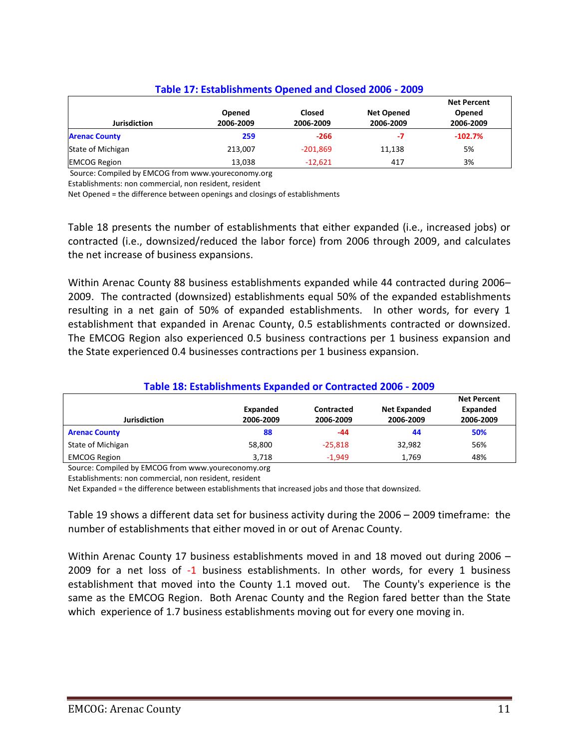# **Table 17: Establishments Opened and Closed 2006 - 2009**

|                                             | Opened           | Closed              | <b>Net Opened</b> | <b>Net Percent</b><br>Opened |
|---------------------------------------------|------------------|---------------------|-------------------|------------------------------|
| <b>Jurisdiction</b><br><b>Arenac County</b> | 2006-2009<br>259 | 2006-2009<br>$-266$ | 2006-2009<br>-7   | 2006-2009<br>$-102.7%$       |
| State of Michigan                           | 213.007          | $-201,869$          | 11,138            | 5%                           |
| <b>EMCOG Region</b>                         | 13,038           | $-12.621$           | 417               | 3%                           |

Source: Compiled by EMCOG from www.youreconomy.org

Establishments: non commercial, non resident, resident

Net Opened = the difference between openings and closings of establishments

Table 18 presents the number of establishments that either expanded (i.e., increased jobs) or contracted (i.e., downsized/reduced the labor force) from 2006 through 2009, and calculates the net increase of business expansions.

Within Arenac County 88 business establishments expanded while 44 contracted during 2006– 2009. The contracted (downsized) establishments equal 50% of the expanded establishments resulting in a net gain of 50% of expanded establishments. In other words, for every 1 establishment that expanded in Arenac County, 0.5 establishments contracted or downsized. The EMCOG Region also experienced 0.5 business contractions per 1 business expansion and the State experienced 0.4 businesses contractions per 1 business expansion.

# **Table 18: Establishments Expanded or Contracted 2006 - 2009**

|                      | Expanded  | Contracted | <b>Net Expanded</b> | <b>Net Percent</b><br>Expanded |
|----------------------|-----------|------------|---------------------|--------------------------------|
| <b>Jurisdiction</b>  | 2006-2009 | 2006-2009  | 2006-2009           | 2006-2009                      |
| <b>Arenac County</b> | 88        | -44        | 44                  | 50%                            |
| State of Michigan    | 58,800    | $-25.818$  | 32.982              | 56%                            |
| <b>EMCOG Region</b>  | 3.718     | $-1.949$   | 1.769               | 48%                            |

Source: Compiled by EMCOG from www.youreconomy.org

Establishments: non commercial, non resident, resident

Net Expanded = the difference between establishments that increased jobs and those that downsized.

Table 19 shows a different data set for business activity during the 2006 – 2009 timeframe: the number of establishments that either moved in or out of Arenac County.

Within Arenac County 17 business establishments moved in and 18 moved out during 2006 – 2009 for a net loss of -1 business establishments. In other words, for every 1 business establishment that moved into the County 1.1 moved out. The County's experience is the same as the EMCOG Region. Both Arenac County and the Region fared better than the State which experience of 1.7 business establishments moving out for every one moving in.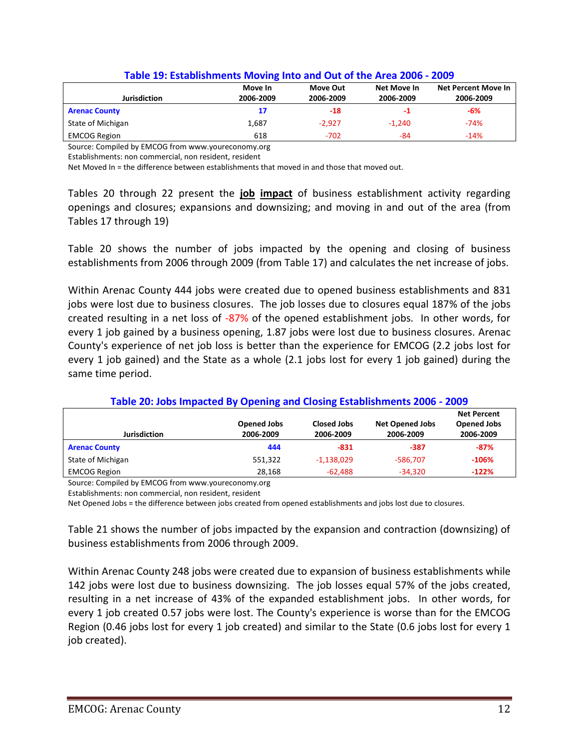| <b>Jurisdiction</b>  | Move In<br>2006-2009 | Move Out<br>2006-2009 | Net Move In<br>2006-2009 | Net Percent Move In<br>2006-2009 |
|----------------------|----------------------|-----------------------|--------------------------|----------------------------------|
| <b>Arenac County</b> | 17                   | $-18$                 | -1                       | $-6%$                            |
| State of Michigan    | 1,687                | -2.927                | $-1.240$                 | $-74%$                           |
| <b>EMCOG Region</b>  | 618                  | $-702$                | -84                      | $-14%$                           |

#### **Table 19: Establishments Moving Into and Out of the Area 2006 - 2009**

Source: Compiled by EMCOG from www.youreconomy.org

Establishments: non commercial, non resident, resident

Net Moved In = the difference between establishments that moved in and those that moved out.

Tables 20 through 22 present the **job impact** of business establishment activity regarding openings and closures; expansions and downsizing; and moving in and out of the area (from Tables 17 through 19)

Table 20 shows the number of jobs impacted by the opening and closing of business establishments from 2006 through 2009 (from Table 17) and calculates the net increase of jobs.

Within Arenac County 444 jobs were created due to opened business establishments and 831 jobs were lost due to business closures. The job losses due to closures equal 187% of the jobs created resulting in a net loss of -87% of the opened establishment jobs. In other words, for every 1 job gained by a business opening, 1.87 jobs were lost due to business closures. Arenac County's experience of net job loss is better than the experience for EMCOG (2.2 jobs lost for every 1 job gained) and the State as a whole (2.1 jobs lost for every 1 job gained) during the same time period.

| Jurisdiction         | <b>Opened Jobs</b><br>2006-2009 | <b>Closed Jobs</b><br>2006-2009 | <b>Net Opened Jobs</b><br>2006-2009 | <b>Net Percent</b><br><b>Opened Jobs</b><br>2006-2009 |  |
|----------------------|---------------------------------|---------------------------------|-------------------------------------|-------------------------------------------------------|--|
| <b>Arenac County</b> | 444                             | -831                            | -387                                | $-87%$                                                |  |
| State of Michigan    | 551.322                         | $-1,138,029$                    | -586.707                            | $-106%$                                               |  |
| <b>EMCOG Region</b>  | 28,168                          | $-62,488$                       | $-34,320$                           | $-122%$                                               |  |

#### **Table 20: Jobs Impacted By Opening and Closing Establishments 2006 - 2009**

Source: Compiled by EMCOG from www.youreconomy.org

Establishments: non commercial, non resident, resident

Net Opened Jobs = the difference between jobs created from opened establishments and jobs lost due to closures.

Table 21 shows the number of jobs impacted by the expansion and contraction (downsizing) of business establishments from 2006 through 2009.

Within Arenac County 248 jobs were created due to expansion of business establishments while 142 jobs were lost due to business downsizing. The job losses equal 57% of the jobs created, resulting in a net increase of 43% of the expanded establishment jobs. In other words, for every 1 job created 0.57 jobs were lost. The County's experience is worse than for the EMCOG Region (0.46 jobs lost for every 1 job created) and similar to the State (0.6 jobs lost for every 1 job created).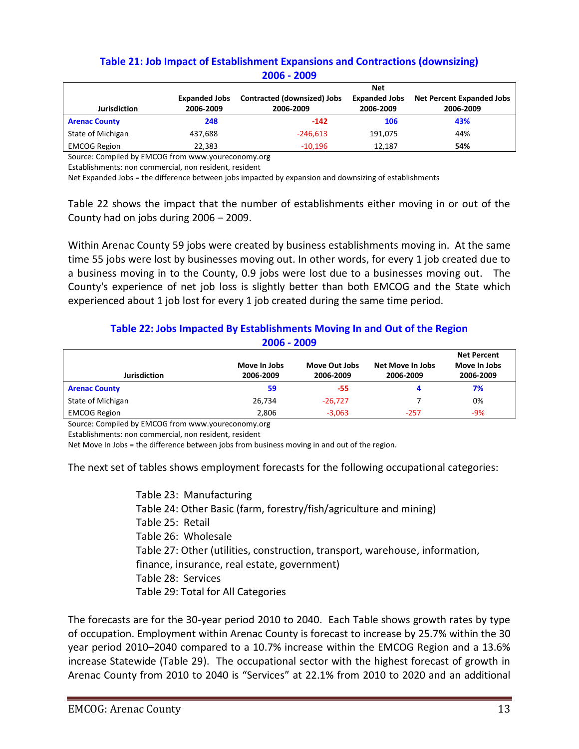# **Table 21: Job Impact of Establishment Expansions and Contractions (downsizing) 2006 - 2009**

|                      |                      | <b>Net</b>                  |                      |                                  |  |  |
|----------------------|----------------------|-----------------------------|----------------------|----------------------------------|--|--|
|                      | <b>Expanded Jobs</b> | Contracted (downsized) Jobs | <b>Expanded Jobs</b> | <b>Net Percent Expanded Jobs</b> |  |  |
| <b>Jurisdiction</b>  | 2006-2009            | 2006-2009                   | 2006-2009            | 2006-2009                        |  |  |
| <b>Arenac County</b> | 248                  | $-142$                      | 106                  | 43%                              |  |  |
| State of Michigan    | 437.688              | $-246.613$                  | 191.075              | 44%                              |  |  |
| <b>EMCOG Region</b>  | 22,383               | $-10,196$                   | 12.187               | 54%                              |  |  |

Source: Compiled by EMCOG from www.youreconomy.org

Establishments: non commercial, non resident, resident

Net Expanded Jobs = the difference between jobs impacted by expansion and downsizing of establishments

Table 22 shows the impact that the number of establishments either moving in or out of the County had on jobs during 2006 – 2009.

Within Arenac County 59 jobs were created by business establishments moving in. At the same time 55 jobs were lost by businesses moving out. In other words, for every 1 job created due to a business moving in to the County, 0.9 jobs were lost due to a businesses moving out. The County's experience of net job loss is slightly better than both EMCOG and the State which experienced about 1 job lost for every 1 job created during the same time period.

# **Table 22: Jobs Impacted By Establishments Moving In and Out of the Region 2006 - 2009**

|                      |                           |                            |                               | <b>Net Percent</b>        |
|----------------------|---------------------------|----------------------------|-------------------------------|---------------------------|
| <b>Jurisdiction</b>  | Move In Jobs<br>2006-2009 | Move Out Jobs<br>2006-2009 | Net Move In Jobs<br>2006-2009 | Move In Jobs<br>2006-2009 |
|                      |                           |                            |                               |                           |
| <b>Arenac County</b> | 59                        | -55                        |                               | 7%                        |
| State of Michigan    | 26,734                    | $-26.727$                  |                               | 0%                        |
| <b>EMCOG Region</b>  | 2,806                     | $-3,063$                   | $-257$                        | -9%                       |

Source: Compiled by EMCOG from www.youreconomy.org

Establishments: non commercial, non resident, resident

Net Move In Jobs = the difference between jobs from business moving in and out of the region.

The next set of tables shows employment forecasts for the following occupational categories:

Table 23: Manufacturing Table 24: Other Basic (farm, forestry/fish/agriculture and mining) Table 25: Retail Table 26: Wholesale Table 27: Other (utilities, construction, transport, warehouse, information, finance, insurance, real estate, government) Table 28: Services Table 29: Total for All Categories

The forecasts are for the 30-year period 2010 to 2040. Each Table shows growth rates by type of occupation. Employment within Arenac County is forecast to increase by 25.7% within the 30 year period 2010–2040 compared to a 10.7% increase within the EMCOG Region and a 13.6% increase Statewide (Table 29). The occupational sector with the highest forecast of growth in Arenac County from 2010 to 2040 is "Services" at 22.1% from 2010 to 2020 and an additional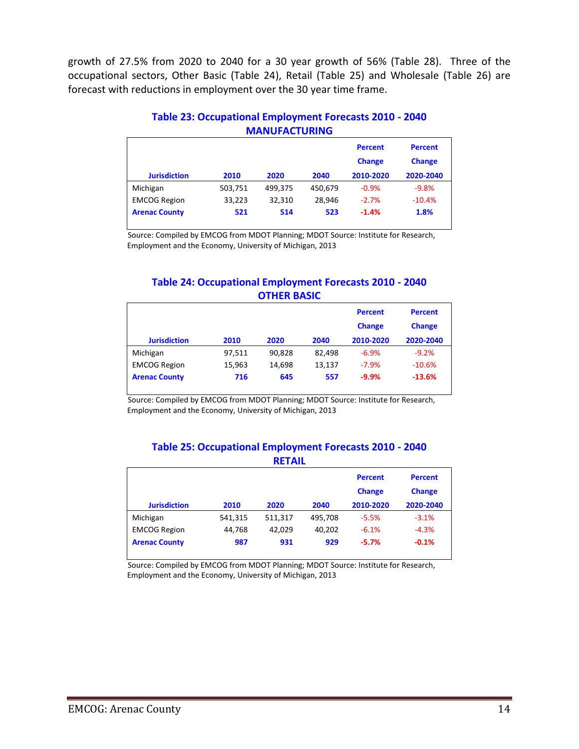growth of 27.5% from 2020 to 2040 for a 30 year growth of 56% (Table 28). Three of the occupational sectors, Other Basic (Table 24), Retail (Table 25) and Wholesale (Table 26) are forecast with reductions in employment over the 30 year time frame.

|                      |         | <u>IVIMIVU ACTURINU</u> |         |                                 |                                 |
|----------------------|---------|-------------------------|---------|---------------------------------|---------------------------------|
|                      |         |                         |         | <b>Percent</b><br><b>Change</b> | <b>Percent</b><br><b>Change</b> |
| <b>Jurisdiction</b>  | 2010    | 2020                    | 2040    | 2010-2020                       | 2020-2040                       |
| Michigan             | 503,751 | 499,375                 | 450,679 | $-0.9%$                         | $-9.8%$                         |
| <b>EMCOG Region</b>  | 33,223  | 32,310                  | 28.946  | $-2.7%$                         | $-10.4%$                        |
| <b>Arenac County</b> | 521     | 514                     | 523     | $-1.4%$                         | 1.8%                            |
|                      |         |                         |         |                                 |                                 |

#### **Table 23: Occupational Employment Forecasts 2010 - 2040 MANUFACTURING**

Source: Compiled by EMCOG from MDOT Planning; MDOT Source: Institute for Research, Employment and the Economy, University of Michigan, 2013

## **Table 24: Occupational Employment Forecasts 2010 - 2040 OTHER BASIC**

| <b>Jurisdiction</b>  | 2010   | 2020   | 2040   | <b>Percent</b><br><b>Change</b><br>2010-2020 | <b>Percent</b><br><b>Change</b><br>2020-2040 |
|----------------------|--------|--------|--------|----------------------------------------------|----------------------------------------------|
| Michigan             | 97,511 | 90,828 | 82,498 | $-6.9%$                                      | $-9.2%$                                      |
| <b>EMCOG Region</b>  | 15,963 | 14.698 | 13,137 | $-7.9%$                                      | $-10.6%$                                     |
| <b>Arenac County</b> | 716    | 645    | 557    | $-9.9%$                                      | $-13.6%$                                     |

Source: Compiled by EMCOG from MDOT Planning; MDOT Source: Institute for Research, Employment and the Economy, University of Michigan, 2013

#### **Table 25: Occupational Employment Forecasts 2010 - 2040 RETAIL**

| <b>Jurisdiction</b>  | 2010    | 2020    | 2040    | <b>Percent</b><br><b>Change</b><br>2010-2020 | <b>Percent</b><br><b>Change</b><br>2020-2040 |
|----------------------|---------|---------|---------|----------------------------------------------|----------------------------------------------|
| Michigan             | 541,315 | 511,317 | 495,708 | $-5.5%$                                      | $-3.1%$                                      |
| <b>EMCOG Region</b>  | 44,768  | 42.029  | 40,202  | $-6.1%$                                      | $-4.3%$                                      |
| <b>Arenac County</b> | 987     | 931     | 929     | $-5.7%$                                      | $-0.1%$                                      |

Source: Compiled by EMCOG from MDOT Planning; MDOT Source: Institute for Research, Employment and the Economy, University of Michigan, 2013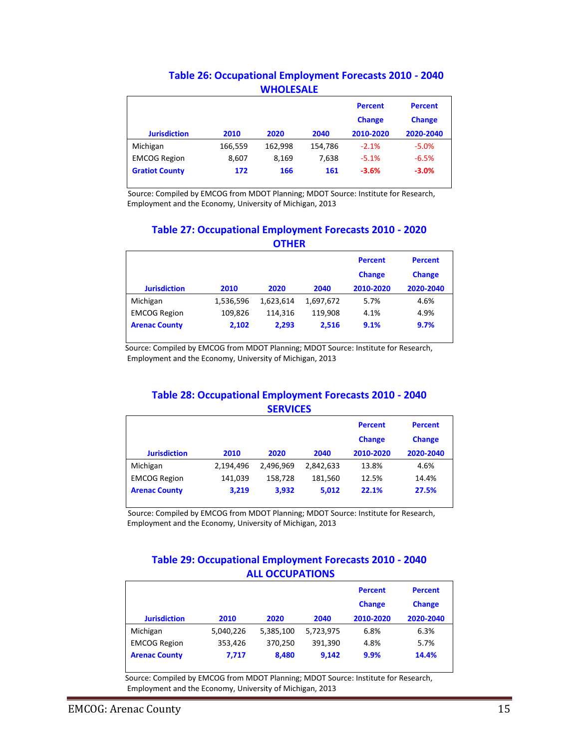| Table 26: Occupational Employment Forecasts 2010 - 2040 |
|---------------------------------------------------------|
| <b>WHOLESALE</b>                                        |

|                       |         |         |         | <b>Percent</b><br><b>Change</b> | <b>Percent</b><br><b>Change</b> |
|-----------------------|---------|---------|---------|---------------------------------|---------------------------------|
| <b>Jurisdiction</b>   | 2010    | 2020    | 2040    | 2010-2020                       | 2020-2040                       |
| Michigan              | 166,559 | 162,998 | 154,786 | $-2.1%$                         | $-5.0%$                         |
| <b>EMCOG Region</b>   | 8,607   | 8,169   | 7.638   | $-5.1%$                         | $-6.5%$                         |
| <b>Gratiot County</b> | 172     | 166     | 161     | $-3.6%$                         | $-3.0%$                         |

Source: Compiled by EMCOG from MDOT Planning; MDOT Source: Institute for Research, Employment and the Economy, University of Michigan, 2013

#### **Table 27: Occupational Employment Forecasts 2010 - 2020 OTHER**

|                      |           |           |           | <b>Percent</b><br><b>Change</b> | <b>Percent</b><br><b>Change</b> |
|----------------------|-----------|-----------|-----------|---------------------------------|---------------------------------|
| <b>Jurisdiction</b>  | 2010      | 2020      | 2040      | 2010-2020                       | 2020-2040                       |
| Michigan             | 1,536,596 | 1,623,614 | 1,697,672 | 5.7%                            | 4.6%                            |
| <b>EMCOG Region</b>  | 109,826   | 114.316   | 119,908   | 4.1%                            | 4.9%                            |
| <b>Arenac County</b> | 2,102     | 2.293     | 2,516     | 9.1%                            | 9.7%                            |

Source: Compiled by EMCOG from MDOT Planning; MDOT Source: Institute for Research, Employment and the Economy, University of Michigan, 2013

## **Table 28: Occupational Employment Forecasts 2010 - 2040 SERVICES**

|                      |           |           |           | <b>Percent</b><br><b>Change</b> | <b>Percent</b><br><b>Change</b> |
|----------------------|-----------|-----------|-----------|---------------------------------|---------------------------------|
| <b>Jurisdiction</b>  | 2010      | 2020      | 2040      | 2010-2020                       | 2020-2040                       |
| Michigan             | 2,194,496 | 2.496.969 | 2,842,633 | 13.8%                           | 4.6%                            |
| <b>EMCOG Region</b>  | 141.039   | 158.728   | 181,560   | 12.5%                           | 14.4%                           |
| <b>Arenac County</b> | 3,219     | 3,932     | 5,012     | 22.1%                           | 27.5%                           |

Source: Compiled by EMCOG from MDOT Planning; MDOT Source: Institute for Research, Employment and the Economy, University of Michigan, 2013

#### **Table 29: Occupational Employment Forecasts 2010 - 2040 ALL OCCUPATIONS**

|                      |           |           |           | <b>Percent</b><br><b>Change</b> | <b>Percent</b><br><b>Change</b> |
|----------------------|-----------|-----------|-----------|---------------------------------|---------------------------------|
| <b>Jurisdiction</b>  | 2010      | 2020      | 2040      | 2010-2020                       | 2020-2040                       |
| Michigan             | 5,040,226 | 5,385,100 | 5,723,975 | 6.8%                            | 6.3%                            |
| <b>EMCOG Region</b>  | 353,426   | 370,250   | 391,390   | 4.8%                            | 5.7%                            |
| <b>Arenac County</b> | 7,717     | 8,480     | 9,142     | 9.9%                            | 14.4%                           |

 Source: Compiled by EMCOG from MDOT Planning; MDOT Source: Institute for Research, Employment and the Economy, University of Michigan, 2013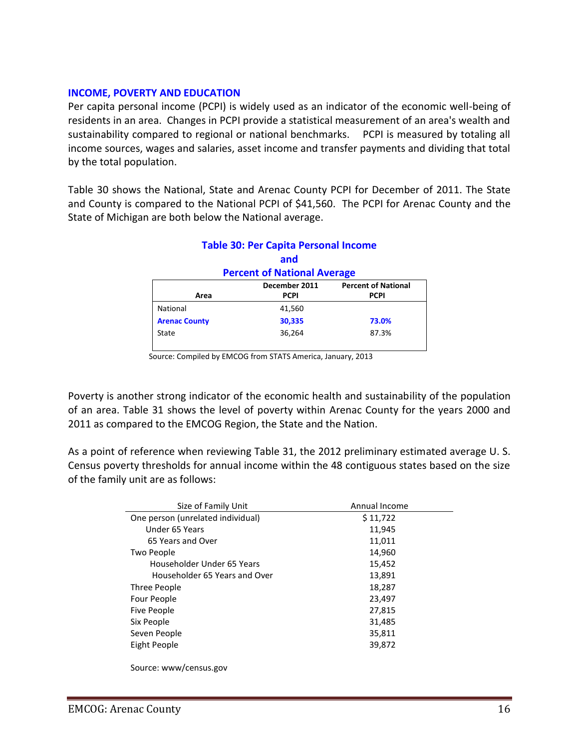#### **INCOME, POVERTY AND EDUCATION**

Per capita personal income (PCPI) is widely used as an indicator of the economic well-being of residents in an area. Changes in PCPI provide a statistical measurement of an area's wealth and sustainability compared to regional or national benchmarks. PCPI is measured by totaling all income sources, wages and salaries, asset income and transfer payments and dividing that total by the total population.

Table 30 shows the National, State and Arenac County PCPI for December of 2011. The State and County is compared to the National PCPI of \$41,560. The PCPI for Arenac County and the State of Michigan are both below the National average.

|                                             | and         |             |  |  |  |
|---------------------------------------------|-------------|-------------|--|--|--|
| <b>Percent of National Average</b>          |             |             |  |  |  |
| December 2011<br><b>Percent of National</b> |             |             |  |  |  |
| Area                                        | <b>PCPI</b> | <b>PCPI</b> |  |  |  |
| National                                    | 41,560      |             |  |  |  |
| <b>Arenac County</b>                        | 30,335      | 73.0%       |  |  |  |
| State                                       | 36,264      | 87.3%       |  |  |  |
|                                             |             |             |  |  |  |

# **Table 30: Per Capita Personal Income**

Source: Compiled by EMCOG from STATS America, January, 2013

Poverty is another strong indicator of the economic health and sustainability of the population of an area. Table 31 shows the level of poverty within Arenac County for the years 2000 and 2011 as compared to the EMCOG Region, the State and the Nation.

As a point of reference when reviewing Table 31, the 2012 preliminary estimated average U. S. Census poverty thresholds for annual income within the 48 contiguous states based on the size of the family unit are as follows:

| Size of Family Unit               | Annual Income |
|-----------------------------------|---------------|
| One person (unrelated individual) | \$11,722      |
| Under 65 Years                    | 11,945        |
| 65 Years and Over                 | 11,011        |
| Two People                        | 14,960        |
| Householder Under 65 Years        | 15,452        |
| Householder 65 Years and Over     | 13,891        |
| Three People                      | 18,287        |
| Four People                       | 23,497        |
| <b>Five People</b>                | 27,815        |
| Six People                        | 31,485        |
| Seven People                      | 35,811        |
| Eight People                      | 39,872        |
|                                   |               |

Source: www/census.gov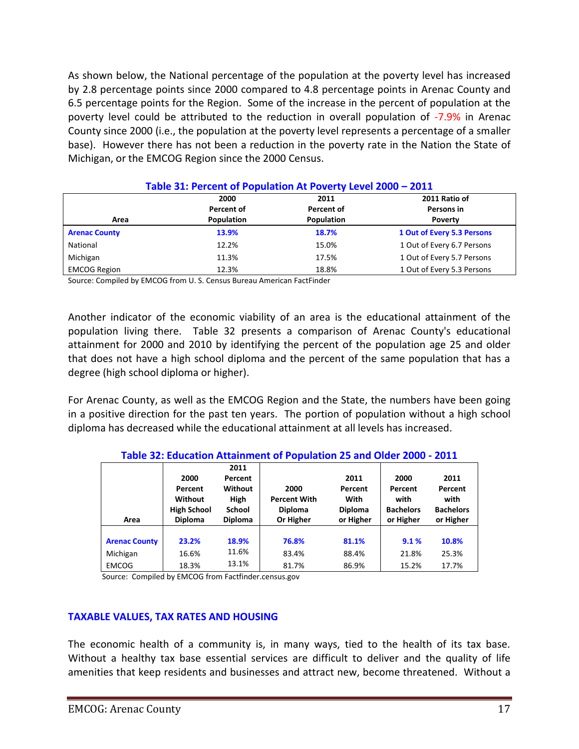As shown below, the National percentage of the population at the poverty level has increased by 2.8 percentage points since 2000 compared to 4.8 percentage points in Arenac County and 6.5 percentage points for the Region. Some of the increase in the percent of population at the poverty level could be attributed to the reduction in overall population of -7.9% in Arenac County since 2000 (i.e., the population at the poverty level represents a percentage of a smaller base). However there has not been a reduction in the poverty rate in the Nation the State of Michigan, or the EMCOG Region since the 2000 Census.

|                      | 2000              | 2011              | 2011 Ratio of              |  |  |  |
|----------------------|-------------------|-------------------|----------------------------|--|--|--|
|                      | Percent of        | Percent of        | Persons in                 |  |  |  |
| Area                 | <b>Population</b> | <b>Population</b> | <b>Poverty</b>             |  |  |  |
| <b>Arenac County</b> | 13.9%             | 18.7%             | 1 Out of Every 5.3 Persons |  |  |  |
| National             | 12.2%             | 15.0%             | 1 Out of Every 6.7 Persons |  |  |  |
| Michigan             | 11.3%             | 17.5%             | 1 Out of Every 5.7 Persons |  |  |  |
| <b>EMCOG Region</b>  | 12.3%             | 18.8%             | 1 Out of Every 5.3 Persons |  |  |  |

#### **Table 31: Percent of Population At Poverty Level 2000 – 2011**

Source: Compiled by EMCOG from U. S. Census Bureau American FactFinder

Another indicator of the economic viability of an area is the educational attainment of the population living there. Table 32 presents a comparison of Arenac County's educational attainment for 2000 and 2010 by identifying the percent of the population age 25 and older that does not have a high school diploma and the percent of the same population that has a degree (high school diploma or higher).

For Arenac County, as well as the EMCOG Region and the State, the numbers have been going in a positive direction for the past ten years. The portion of population without a high school diploma has decreased while the educational attainment at all levels has increased.

|                      |                    |                | Table 52. Education Attainment of Population 25 and Older 2000 - 2011 |                |                  |                  |
|----------------------|--------------------|----------------|-----------------------------------------------------------------------|----------------|------------------|------------------|
|                      |                    | 2011           |                                                                       |                |                  |                  |
|                      | 2000               | Percent        |                                                                       | 2011           | 2000             | 2011             |
|                      | Percent            | Without        | 2000                                                                  | Percent        | Percent          | Percent          |
|                      | Without            | <b>High</b>    | <b>Percent With</b>                                                   | With           | with             | with             |
|                      | <b>High School</b> | <b>School</b>  | <b>Diploma</b>                                                        | <b>Diploma</b> | <b>Bachelors</b> | <b>Bachelors</b> |
| Area                 | <b>Diploma</b>     | <b>Diploma</b> | Or Higher                                                             | or Higher      | or Higher        | or Higher        |
|                      |                    |                |                                                                       |                |                  |                  |
| <b>Arenac County</b> | 23.2%              | 18.9%          | 76.8%                                                                 | 81.1%          | 9.1%             | 10.8%            |
| Michigan             | 16.6%              | 11.6%          | 83.4%                                                                 | 88.4%          | 21.8%            | 25.3%            |
| <b>EMCOG</b>         | 18.3%              | 13.1%          | 81.7%                                                                 | 86.9%          | 15.2%            | 17.7%            |

**Table 32: Education Attainment of Population 25 and Older 2000 - 2011**

Source: Compiled by EMCOG from Factfinder.census.gov

#### **TAXABLE VALUES, TAX RATES AND HOUSING**

The economic health of a community is, in many ways, tied to the health of its tax base. Without a healthy tax base essential services are difficult to deliver and the quality of life amenities that keep residents and businesses and attract new, become threatened. Without a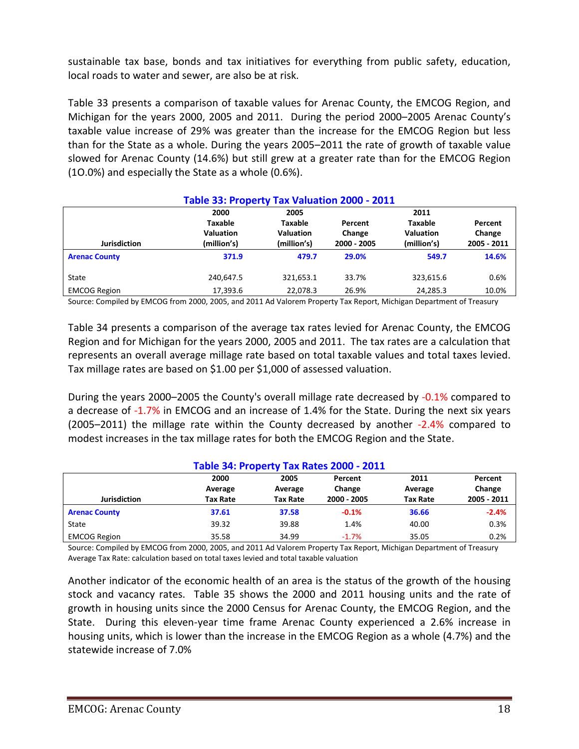sustainable tax base, bonds and tax initiatives for everything from public safety, education, local roads to water and sewer, are also be at risk.

Table 33 presents a comparison of taxable values for Arenac County, the EMCOG Region, and Michigan for the years 2000, 2005 and 2011. During the period 2000–2005 Arenac County's taxable value increase of 29% was greater than the increase for the EMCOG Region but less than for the State as a whole. During the years 2005–2011 the rate of growth of taxable value slowed for Arenac County (14.6%) but still grew at a greater rate than for the EMCOG Region (1O.0%) and especially the State as a whole (0.6%).

| Table 33: Property Tax Valuation 2000 - 2011 |                  |                  |             |                  |             |  |
|----------------------------------------------|------------------|------------------|-------------|------------------|-------------|--|
|                                              | 2000             | 2005             |             | 2011             |             |  |
|                                              | Taxable          | <b>Taxable</b>   | Percent     | <b>Taxable</b>   | Percent     |  |
|                                              | <b>Valuation</b> | <b>Valuation</b> | Change      | <b>Valuation</b> | Change      |  |
| <b>Jurisdiction</b>                          | (million's)      | (million's)      | 2000 - 2005 | (million's)      | 2005 - 2011 |  |
| <b>Arenac County</b>                         | 371.9            | 479.7            | 29.0%       | 549.7            | 14.6%       |  |
| State                                        | 240,647.5        | 321,653.1        | 33.7%       | 323,615.6        | 0.6%        |  |
| <b>EMCOG Region</b>                          | 17,393.6         | 22.078.3         | 26.9%       | 24,285.3         | 10.0%       |  |

Source: Compiled by EMCOG from 2000, 2005, and 2011 Ad Valorem Property Tax Report, Michigan Department of Treasury

Table 34 presents a comparison of the average tax rates levied for Arenac County, the EMCOG Region and for Michigan for the years 2000, 2005 and 2011. The tax rates are a calculation that represents an overall average millage rate based on total taxable values and total taxes levied. Tax millage rates are based on \$1.00 per \$1,000 of assessed valuation.

During the years 2000–2005 the County's overall millage rate decreased by -0.1% compared to a decrease of -1.7% in EMCOG and an increase of 1.4% for the State. During the next six years (2005–2011) the millage rate within the County decreased by another -2.4% compared to modest increases in the tax millage rates for both the EMCOG Region and the State.

| Table 34: Property Tax Rates 2000 - 2011 |                 |                 |                   |                 |                   |
|------------------------------------------|-----------------|-----------------|-------------------|-----------------|-------------------|
|                                          | 2000<br>Average | 2005<br>Average | Percent<br>Change | 2011<br>Average | Percent<br>Change |
| <b>Jurisdiction</b>                      | <b>Tax Rate</b> | <b>Tax Rate</b> | 2000 - 2005       | <b>Tax Rate</b> | 2005 - 2011       |
| <b>Arenac County</b>                     | 37.61           | 37.58           | $-0.1%$           | 36.66           | $-2.4%$           |
| State                                    | 39.32           | 39.88           | 1.4%              | 40.00           | 0.3%              |
| <b>EMCOG Region</b>                      | 35.58           | 34.99           | $-1.7%$           | 35.05           | 0.2%              |

Source: Compiled by EMCOG from 2000, 2005, and 2011 Ad Valorem Property Tax Report, Michigan Department of Treasury Average Tax Rate: calculation based on total taxes levied and total taxable valuation

Another indicator of the economic health of an area is the status of the growth of the housing stock and vacancy rates. Table 35 shows the 2000 and 2011 housing units and the rate of growth in housing units since the 2000 Census for Arenac County, the EMCOG Region, and the State. During this eleven-year time frame Arenac County experienced a 2.6% increase in housing units, which is lower than the increase in the EMCOG Region as a whole (4.7%) and the statewide increase of 7.0%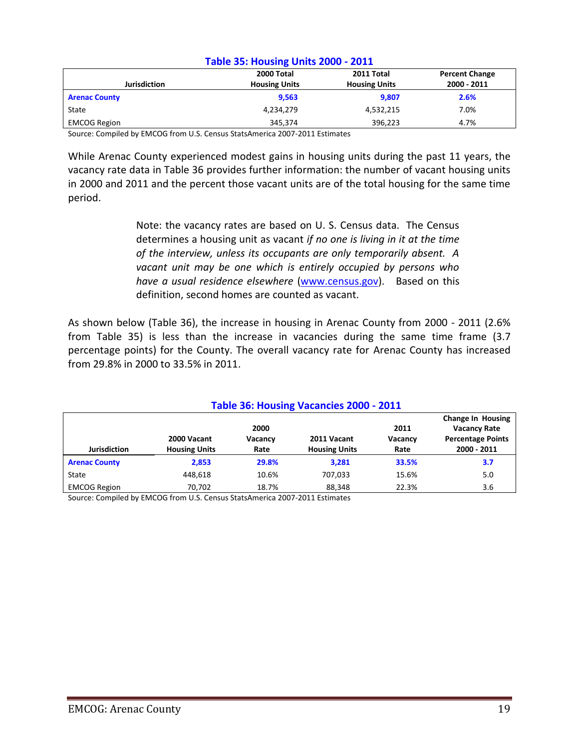| Table 35: Housing Units 2000 - 2011 |                      |                      |                       |  |
|-------------------------------------|----------------------|----------------------|-----------------------|--|
|                                     | 2000 Total           | 2011 Total           | <b>Percent Change</b> |  |
| <b>Jurisdiction</b>                 | <b>Housing Units</b> | <b>Housing Units</b> | 2000 - 2011           |  |
| <b>Arenac County</b>                | 9,563                | 9,807                | 2.6%                  |  |
| State                               | 4,234,279            | 4,532,215            | 7.0%                  |  |
| <b>EMCOG Region</b>                 | 345,374              | 396.223              | 4.7%                  |  |

#### **Table 35: Housing Units 2000 - 2011**

Source: Compiled by EMCOG from U.S. Census StatsAmerica 2007-2011 Estimates

While Arenac County experienced modest gains in housing units during the past 11 years, the vacancy rate data in Table 36 provides further information: the number of vacant housing units in 2000 and 2011 and the percent those vacant units are of the total housing for the same time period.

> Note: the vacancy rates are based on U. S. Census data. The Census determines a housing unit as vacant *if no one is living in it at the time of the interview, unless its occupants are only temporarily absent. A vacant unit may be one which is entirely occupied by persons who have a usual residence elsewhere* [\(www.census.gov\)](http://www.census.gov/). Based on this definition, second homes are counted as vacant.

As shown below (Table 36), the increase in housing in Arenac County from 2000 - 2011 (2.6% from Table 35) is less than the increase in vacancies during the same time frame (3.7 percentage points) for the County. The overall vacancy rate for Arenac County has increased from 29.8% in 2000 to 33.5% in 2011.

| Table 36: Housing Vacancies 2000 - 2011 |                                     |                 |                                     |                 |                                                 |
|-----------------------------------------|-------------------------------------|-----------------|-------------------------------------|-----------------|-------------------------------------------------|
|                                         |                                     | 2000            |                                     | 2011            | <b>Change In Housing</b><br><b>Vacancy Rate</b> |
| <b>Jurisdiction</b>                     | 2000 Vacant<br><b>Housing Units</b> | Vacancy<br>Rate | 2011 Vacant<br><b>Housing Units</b> | Vacancy<br>Rate | <b>Percentage Points</b><br>2000 - 2011         |
| <b>Arenac County</b>                    | 2.853                               | 29.8%           | 3,281                               | 33.5%           | 3.7                                             |
| State                                   | 448.618                             | 10.6%           | 707.033                             | 15.6%           | 5.0                                             |
| <b>EMCOG Region</b>                     | 70.702                              | 18.7%           | 88.348                              | 22.3%           | 3.6                                             |
| _______                                 | .                                   |                 |                                     |                 |                                                 |

Source: Compiled by EMCOG from U.S. Census StatsAmerica 2007-2011 Estimates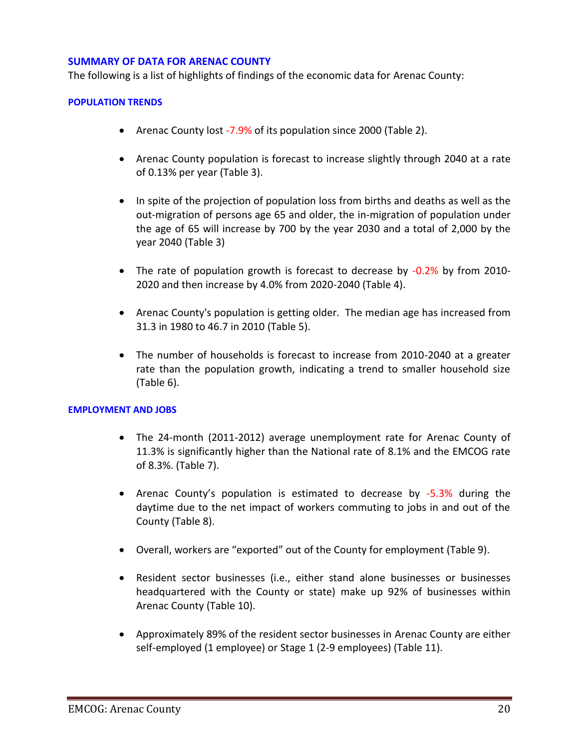#### **SUMMARY OF DATA FOR ARENAC COUNTY**

The following is a list of highlights of findings of the economic data for Arenac County:

#### **POPULATION TRENDS**

- Arenac County lost -7.9% of its population since 2000 (Table 2).
- Arenac County population is forecast to increase slightly through 2040 at a rate of 0.13% per year (Table 3).
- In spite of the projection of population loss from births and deaths as well as the out-migration of persons age 65 and older, the in-migration of population under the age of 65 will increase by 700 by the year 2030 and a total of 2,000 by the year 2040 (Table 3)
- The rate of population growth is forecast to decrease by -0.2% by from 2010-2020 and then increase by 4.0% from 2020-2040 (Table 4).
- Arenac County's population is getting older. The median age has increased from 31.3 in 1980 to 46.7 in 2010 (Table 5).
- The number of households is forecast to increase from 2010-2040 at a greater rate than the population growth, indicating a trend to smaller household size (Table 6).

#### **EMPLOYMENT AND JOBS**

- The 24-month (2011-2012) average unemployment rate for Arenac County of 11.3% is significantly higher than the National rate of 8.1% and the EMCOG rate of 8.3%. (Table 7).
- Arenac County's population is estimated to decrease by -5.3% during the daytime due to the net impact of workers commuting to jobs in and out of the County (Table 8).
- Overall, workers are "exported" out of the County for employment (Table 9).
- Resident sector businesses (i.e., either stand alone businesses or businesses headquartered with the County or state) make up 92% of businesses within Arenac County (Table 10).
- Approximately 89% of the resident sector businesses in Arenac County are either self-employed (1 employee) or Stage 1 (2-9 employees) (Table 11).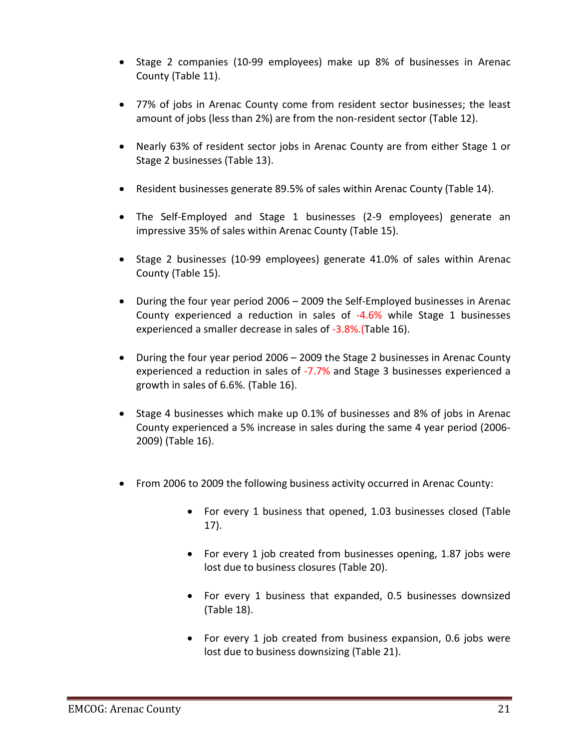- Stage 2 companies (10-99 employees) make up 8% of businesses in Arenac County (Table 11).
- 77% of jobs in Arenac County come from resident sector businesses; the least amount of jobs (less than 2%) are from the non-resident sector (Table 12).
- Nearly 63% of resident sector jobs in Arenac County are from either Stage 1 or Stage 2 businesses (Table 13).
- Resident businesses generate 89.5% of sales within Arenac County (Table 14).
- The Self-Employed and Stage 1 businesses (2-9 employees) generate an impressive 35% of sales within Arenac County (Table 15).
- Stage 2 businesses (10-99 employees) generate 41.0% of sales within Arenac County (Table 15).
- During the four year period 2006 2009 the Self-Employed businesses in Arenac County experienced a reduction in sales of -4.6% while Stage 1 businesses experienced a smaller decrease in sales of -3.8%. (Table 16).
- During the four year period 2006 2009 the Stage 2 businesses in Arenac County experienced a reduction in sales of -7.7% and Stage 3 businesses experienced a growth in sales of 6.6%. (Table 16).
- Stage 4 businesses which make up 0.1% of businesses and 8% of jobs in Arenac County experienced a 5% increase in sales during the same 4 year period (2006- 2009) (Table 16).
- From 2006 to 2009 the following business activity occurred in Arenac County:
	- For every 1 business that opened, 1.03 businesses closed (Table 17).
	- For every 1 job created from businesses opening, 1.87 jobs were lost due to business closures (Table 20).
	- For every 1 business that expanded, 0.5 businesses downsized (Table 18).
	- For every 1 job created from business expansion, 0.6 jobs were lost due to business downsizing (Table 21).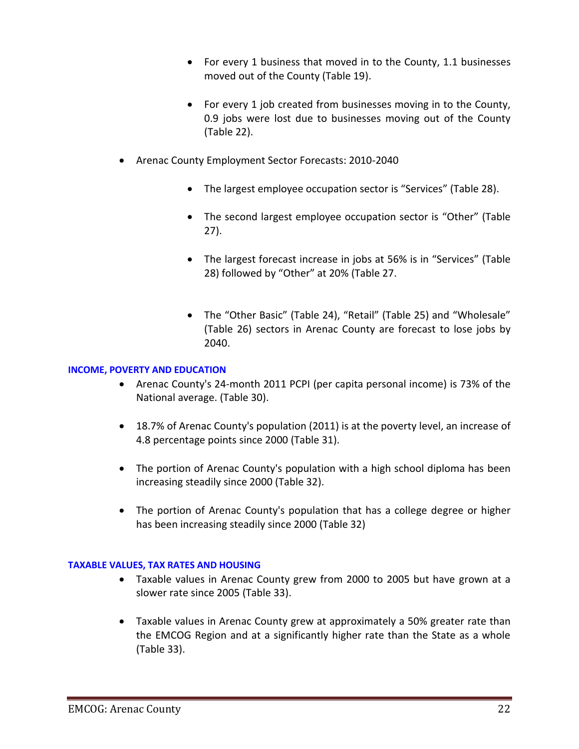- For every 1 business that moved in to the County, 1.1 businesses moved out of the County (Table 19).
- For every 1 job created from businesses moving in to the County, 0.9 jobs were lost due to businesses moving out of the County (Table 22).
- Arenac County Employment Sector Forecasts: 2010-2040
	- The largest employee occupation sector is "Services" (Table 28).
	- The second largest employee occupation sector is "Other" (Table 27).
	- The largest forecast increase in jobs at 56% is in "Services" (Table 28) followed by "Other" at 20% (Table 27.
	- The "Other Basic" (Table 24), "Retail" (Table 25) and "Wholesale" (Table 26) sectors in Arenac County are forecast to lose jobs by 2040.

#### **INCOME, POVERTY AND EDUCATION**

- Arenac County's 24-month 2011 PCPI (per capita personal income) is 73% of the National average. (Table 30).
- 18.7% of Arenac County's population (2011) is at the poverty level, an increase of 4.8 percentage points since 2000 (Table 31).
- The portion of Arenac County's population with a high school diploma has been increasing steadily since 2000 (Table 32).
- The portion of Arenac County's population that has a college degree or higher has been increasing steadily since 2000 (Table 32)

#### **TAXABLE VALUES, TAX RATES AND HOUSING**

- Taxable values in Arenac County grew from 2000 to 2005 but have grown at a slower rate since 2005 (Table 33).
- Taxable values in Arenac County grew at approximately a 50% greater rate than the EMCOG Region and at a significantly higher rate than the State as a whole (Table 33).